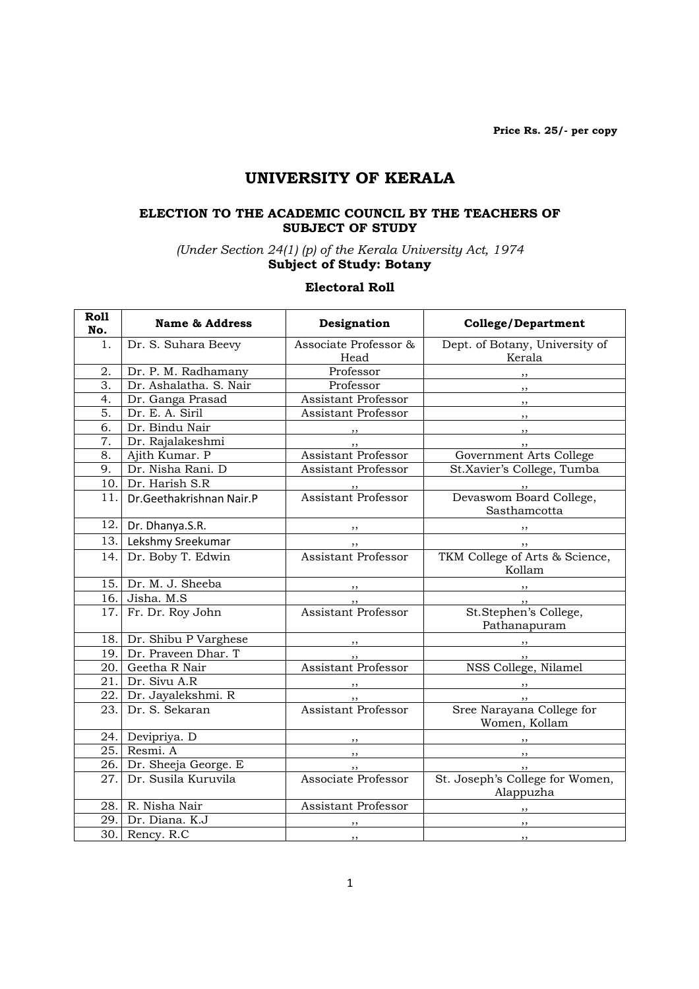Price Rs. 25/- per copy

# UNIVERSITY OF KERALA

### ELECTION TO THE ACADEMIC COUNCIL BY THE TEACHERS OF SUBJECT OF STUDY

(Under Section 24(1) (p) of the Kerala University Act, 1974 Subject of Study: Botany

### Electoral Roll

| Roll<br>No.      | <b>Name &amp; Address</b> | Designation                   | <b>College/Department</b>                     |
|------------------|---------------------------|-------------------------------|-----------------------------------------------|
| 1.               | Dr. S. Suhara Beevy       | Associate Professor &<br>Head | Dept. of Botany, University of<br>Kerala      |
| 2.               | Dr. P. M. Radhamany       | Professor                     |                                               |
| $\overline{3}$ . | Dr. Ashalatha. S. Nair    | Professor                     | $\overline{\phantom{a}}$                      |
| 4.               | Dr. Ganga Prasad          | Assistant Professor           | $, \, \, \cdot$                               |
| 5.               | Dr. E. A. Siril           | <b>Assistant Professor</b>    | $\overline{\phantom{a}}$                      |
| 6.               | Dr. Bindu Nair            |                               | $\overline{\phantom{a}}$                      |
| $\overline{7}$ . | Dr. Rajalakeshmi          |                               | , , ,                                         |
| 8.               | Ajith Kumar. P            | <b>Assistant Professor</b>    | Government Arts College                       |
| 9.               | Dr. Nisha Rani. D         | Assistant Professor           | St.Xavier's College, Tumba                    |
| 10.              | Dr. Harish S.R            |                               |                                               |
| 11.              | Dr.Geethakrishnan Nair.P  | " <b>Assistant Professor</b>  | ,,<br>Devaswom Board College,<br>Sasthamcotta |
|                  | 12. Dr. Dhanya.S.R.       | , ,                           |                                               |
| 13.              | Lekshmy Sreekumar         | , ,                           | $\cdots$ , $\cdots$                           |
| 14.              | Dr. Boby T. Edwin         | <b>Assistant Professor</b>    | TKM College of Arts & Science,<br>Kollam      |
| 15.              | Dr. M. J. Sheeba          |                               |                                               |
|                  | 16. Jisha. M.S.           | $, \, \,$                     |                                               |
| 17.              | Fr. Dr. Roy John          | <b>Assistant Professor</b>    | ,,<br>St.Stephen's College,<br>Pathanapuram   |
|                  | 18. Dr. Shibu P Varghese  | $\overline{\phantom{a}}$      |                                               |
|                  | 19. Dr. Praveen Dhar. T   | , ,                           | , ,                                           |
|                  | 20. Geetha R Nair         | <b>Assistant Professor</b>    | NSS College, Nilamel                          |
| 21.              | Dr. Sivu A.R              |                               |                                               |
| 22.              | Dr. Jayalekshmi. R        | $\overline{\phantom{a}}$      | $\overline{\phantom{a}}$                      |
| 23.              | Dr. S. Sekaran            | <b>Assistant Professor</b>    | Sree Narayana College for<br>Women, Kollam    |
| 24.              | Devipriya. D              | $, \,$                        |                                               |
| 25.              | Resmi. A                  | ,,                            | $\,$ , ,                                      |
|                  | 26. Dr. Sheeja George. E  |                               | , ,                                           |
| 27.              | Dr. Susila Kuruvila       | ", Associate Professor        | St. Joseph's College for Women,<br>Alappuzha  |
| 28.              | R. Nisha Nair             | Assistant Professor           |                                               |
|                  | 29. Dr. Diana. K.J        | $, \,$                        |                                               |
|                  | 30. Rency. R.C            | $\cdots$                      | ,,                                            |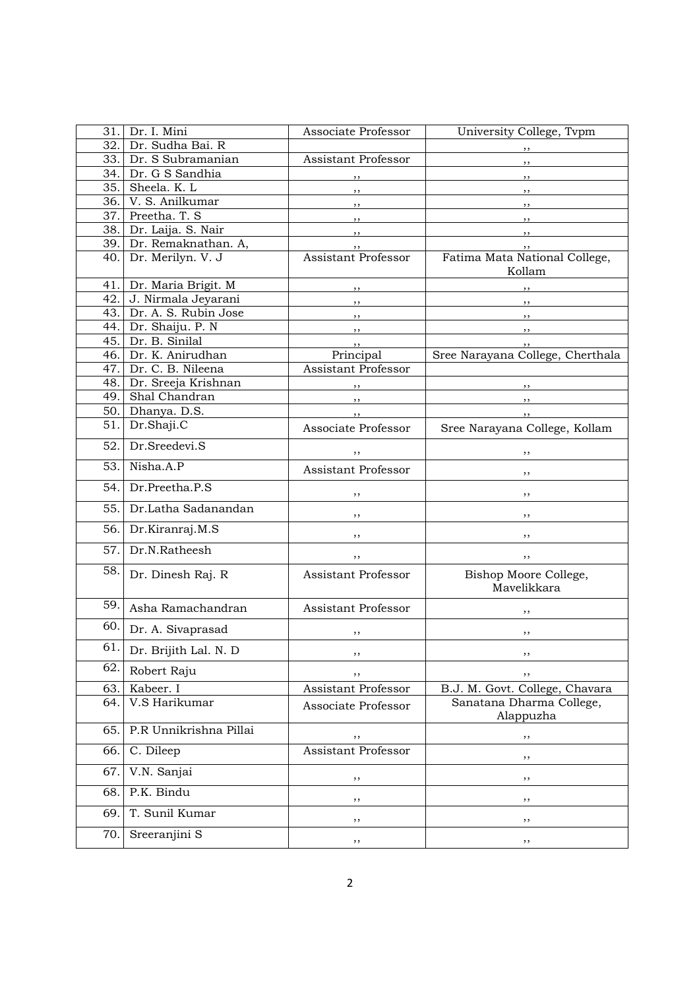| 31. | Dr. I. Mini                 | Associate Professor        | University College, Tvpm                |
|-----|-----------------------------|----------------------------|-----------------------------------------|
| 32. | Dr. Sudha Bai. R            |                            | ,,                                      |
| 33. | Dr. S Subramanian           | Assistant Professor        | $, \,$                                  |
| 34. | Dr. G S Sandhia             | ,,                         | , ,                                     |
| 35. | Sheela. K. L                | ,,                         | $, \,$                                  |
| 36. | V. S. Anilkumar             | ,,                         | , ,                                     |
| 37. | Preetha. T. S               | $, \, \,$                  | $, \,$                                  |
| 38. | Dr. Laija. S. Nair          | $, \, \,$                  | , ,                                     |
|     | 39. Dr. Remaknathan. A,     |                            | , ,                                     |
| 40. | Dr. Merilyn. V. J           | <b>Assistant Professor</b> | Fatima Mata National College,<br>Kollam |
| 41. | Dr. Maria Brigit. M         | $, \,$                     | $, \,$                                  |
| 42. | J. Nirmala Jeyarani         | ,,                         | $\overline{\phantom{a}}$                |
| 43. | Dr. A. S. Rubin Jose        | ,,                         | , ,                                     |
| 44. | Dr. Shaiju. P. N            | $, \,$                     | $, \, \, \cdot$                         |
| 45. | Dr. B. Sinilal              | $, \,$                     | , ,                                     |
| 46. | Dr. K. Anirudhan            | Principal                  | Sree Narayana College, Cherthala        |
| 47. | Dr. C. B. Nileena           | <b>Assistant Professor</b> |                                         |
| 48. | Dr. Sreeja Krishnan         |                            |                                         |
| 49. | Shal Chandran               |                            |                                         |
| 50. | Dhanya. D.S.                | $, \, \, \cdot$            | $, \, \, \cdot$                         |
| 51. | Dr.Shaji.C<br>Dr.Sreedevi.S | Associate Professor        | Sree Narayana College, Kollam           |
| 52. |                             |                            | ,,                                      |
| 53. | Nisha.A.P                   | <b>Assistant Professor</b> | ,,                                      |
| 54. | Dr.Preetha.P.S              | ,,                         | , ,                                     |
| 55. | Dr.Latha Sadanandan         | ,,                         | ,,                                      |
| 56. | Dr.Kiranraj.M.S             | ,,                         | ,,                                      |
| 57. | Dr.N.Ratheesh               | ,,                         | ,,                                      |
| 58. | Dr. Dinesh Raj. R           | Assistant Professor        | Bishop Moore College,<br>Mavelikkara    |
| 59. | Asha Ramachandran           | Assistant Professor        | ,,                                      |
| 60. | Dr. A. Sivaprasad           | ,,                         | ,,                                      |
| 61. | Dr. Brijith Lal. N. D       | ,,                         | ,,                                      |
| 62. | Robert Raju                 | ,,                         | ,,                                      |
| 63. | Kabeer. I                   | <b>Assistant Professor</b> | B.J. M. Govt. College, Chavara          |
| 64. | V.S Harikumar               | Associate Professor        | Sanatana Dharma College,<br>Alappuzha   |
| 65. | P.R Unnikrishna Pillai      | ,,                         | ,,                                      |
| 66. | C. Dileep                   | <b>Assistant Professor</b> | ,,                                      |
| 67. | V.N. Sanjai                 | ,,                         | ,,                                      |
| 68. | P.K. Bindu                  | ,,                         | ,,                                      |
| 69. | T. Sunil Kumar              | ,,                         | ,,                                      |
| 70. | Sreeranjini S               | ,,                         | ,,                                      |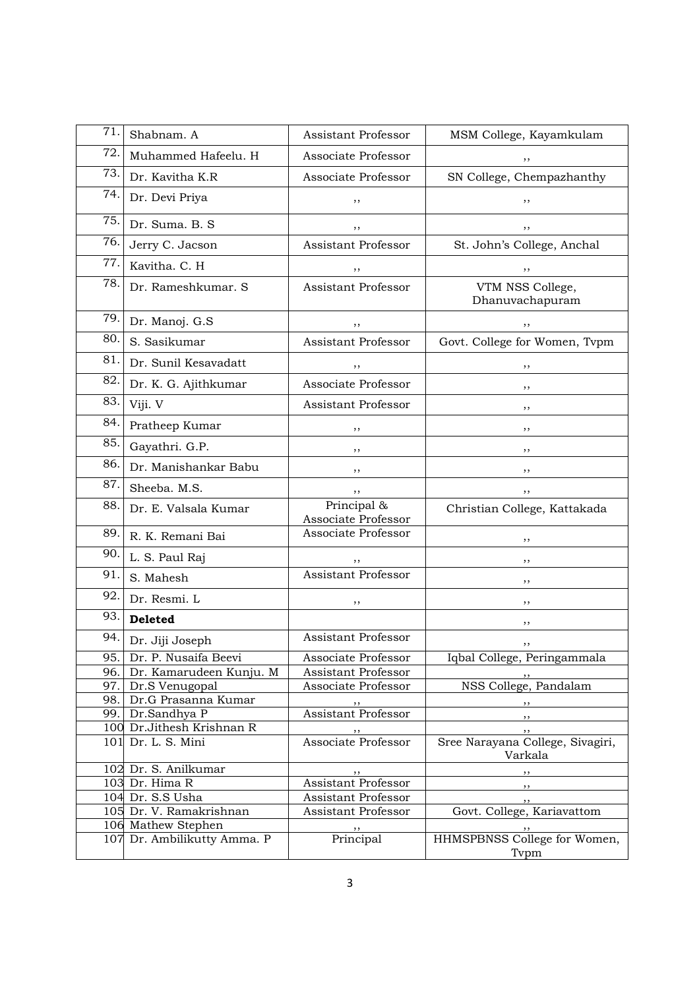| 71. | Shabnam, A                  | Assistant Professor                | MSM College, Kayamkulam                     |
|-----|-----------------------------|------------------------------------|---------------------------------------------|
| 72. | Muhammed Hafeelu. H         | Associate Professor                | ,,                                          |
| 73. | Dr. Kavitha K.R             | Associate Professor                | SN College, Chempazhanthy                   |
| 74. | Dr. Devi Priya              | ,,                                 | ,,                                          |
| 75. | Dr. Suma, B. S.             | ,,                                 | ,,                                          |
| 76. | Jerry C. Jacson             | <b>Assistant Professor</b>         | St. John's College, Anchal                  |
| 77. | Kavitha. C. H               | ,,                                 | ,,                                          |
| 78. | Dr. Rameshkumar. S          | <b>Assistant Professor</b>         | VTM NSS College,<br>Dhanuvachapuram         |
| 79. | Dr. Manoj. G.S              | ,,                                 | ,,                                          |
| 80. | S. Sasikumar                | <b>Assistant Professor</b>         | Govt. College for Women, Tvpm               |
| 81. | Dr. Sunil Kesavadatt        | ,,                                 | ,,                                          |
| 82. | Dr. K. G. Ajithkumar        | Associate Professor                | ,,                                          |
| 83. | Viji. V                     | Assistant Professor                | ,,                                          |
| 84. | Pratheep Kumar              | ,,                                 | ,,                                          |
| 85. | Gayathri. G.P.              | ,,                                 | ,,                                          |
| 86. | Dr. Manishankar Babu        | ,,                                 | ,,                                          |
| 87. | Sheeba. M.S.                | ,,                                 | ,,                                          |
| 88. | Dr. E. Valsala Kumar        | Principal &<br>Associate Professor | Christian College, Kattakada                |
| 89. | R. K. Remani Bai            | Associate Professor                | , ,                                         |
| 90. | L. S. Paul Raj              | ,,                                 | ,,                                          |
| 91. | S. Mahesh                   | <b>Assistant Professor</b>         | , ,                                         |
| 92. | Dr. Resmi. L                | ,,                                 | ,,                                          |
| 93. | <b>Deleted</b>              |                                    | ,,                                          |
| 94. | Dr. Jiji Joseph             | Assistant Professor                | ,,                                          |
|     | 95. Dr. P. Nusaifa Beevi    | Associate Professor                | Iqbal College, Peringammala                 |
| 96. | Dr. Kamarudeen Kunju. M     | <b>Assistant Professor</b>         |                                             |
|     | 97. Dr.S Venugopal          | Associate Professor                | NSS College, Pandalam                       |
|     | 98. Dr.G Prasanna Kumar     |                                    |                                             |
|     | 99. Dr.Sandhya P            | Assistant Professor                |                                             |
|     | 100 Dr.Jithesh Krishnan R   |                                    | $, \,$                                      |
|     | 101 Dr. L. S. Mini          | Associate Professor                | Sree Narayana College, Sivagiri,<br>Varkala |
|     | 102 Dr. S. Anilkumar        |                                    |                                             |
|     | 103 Dr. Hima R              | Assistant Professor                | , ,                                         |
|     | 104 Dr. S.S Usha            | Assistant Professor                | , ,                                         |
|     | 105 Dr. V. Ramakrishnan     | Assistant Professor                | Govt. College, Kariavattom                  |
|     | 106 Mathew Stephen          | , ,                                |                                             |
|     | 107 Dr. Ambilikutty Amma. P | Principal                          | HHMSPBNSS College for Women,<br>Tvpm        |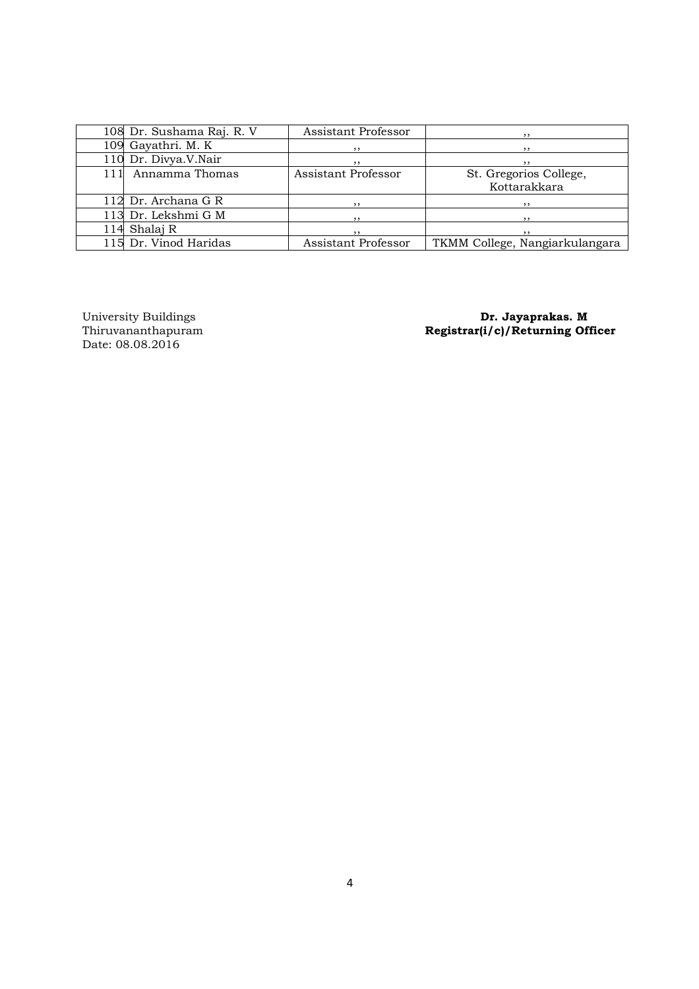|     | 108 Dr. Sushama Raj. R. V | Assistant Professor | , ,                            |
|-----|---------------------------|---------------------|--------------------------------|
|     | 109 Gayathri. M. K        | , ,                 |                                |
|     | 110 Dr. Divya.V.Nair      | , ,                 |                                |
| 111 | Annamma Thomas            | Assistant Professor | St. Gregorios College,         |
|     |                           |                     | Kottarakkara                   |
|     | 112 Dr. Archana G R       |                     |                                |
|     | 113 Dr. Lekshmi G M       | ,,                  | , ,                            |
|     | 114 Shalaj R              |                     |                                |
|     | 115 Dr. Vinod Haridas     | Assistant Professor | TKMM College, Nangiarkulangara |

University Buildings<br>Thiruvananthapuram<br>Date: 08.08.2016

University Buildings **Dr. Jayaprakas. M** Thiruvananthapuram Registrar(i/c)/Returning Officer